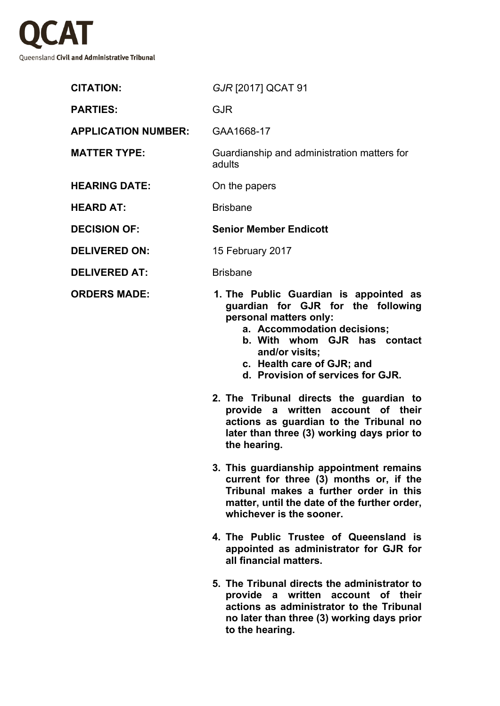

| <b>CITATION:</b>           | GJR [2017] QCAT 91                                                                                                                                                                                                                                                                                                                                                                                                                                  |
|----------------------------|-----------------------------------------------------------------------------------------------------------------------------------------------------------------------------------------------------------------------------------------------------------------------------------------------------------------------------------------------------------------------------------------------------------------------------------------------------|
| <b>PARTIES:</b>            | <b>GJR</b>                                                                                                                                                                                                                                                                                                                                                                                                                                          |
| <b>APPLICATION NUMBER:</b> | GAA1668-17                                                                                                                                                                                                                                                                                                                                                                                                                                          |
| <b>MATTER TYPE:</b>        | Guardianship and administration matters for<br>adults                                                                                                                                                                                                                                                                                                                                                                                               |
| <b>HEARING DATE:</b>       | On the papers                                                                                                                                                                                                                                                                                                                                                                                                                                       |
| <b>HEARD AT:</b>           | <b>Brisbane</b>                                                                                                                                                                                                                                                                                                                                                                                                                                     |
| <b>DECISION OF:</b>        | <b>Senior Member Endicott</b>                                                                                                                                                                                                                                                                                                                                                                                                                       |
| <b>DELIVERED ON:</b>       | 15 February 2017                                                                                                                                                                                                                                                                                                                                                                                                                                    |
| <b>DELIVERED AT:</b>       | <b>Brisbane</b>                                                                                                                                                                                                                                                                                                                                                                                                                                     |
| <b>ORDERS MADE:</b>        | 1. The Public Guardian is appointed as<br>guardian for GJR for the following<br>personal matters only:<br>a. Accommodation decisions;<br>b. With whom GJR has contact<br>and/or visits;<br>c. Health care of GJR; and<br>d. Provision of services for GJR.<br>2. The Tribunal directs the guardian to<br>provide a written account of their<br>actions as guardian to the Tribunal no<br>later than three (3) working days prior to<br>the hearing. |
|                            | 3. This guardianship appointment remains<br>current for three (3) months or, if the<br>Tribunal makes a further order in this<br>matter, until the date of the further order,<br>whichever is the sooner.                                                                                                                                                                                                                                           |
|                            | 4. The Public Trustee of Queensland is<br>appointed as administrator for GJR for<br>all financial matters.                                                                                                                                                                                                                                                                                                                                          |
|                            | 5. The Tribunal directs the administrator to<br>a written account of their<br>provide<br>actions as administrator to the Tribunal<br>no later than three (3) working days prior<br>to the hearing.                                                                                                                                                                                                                                                  |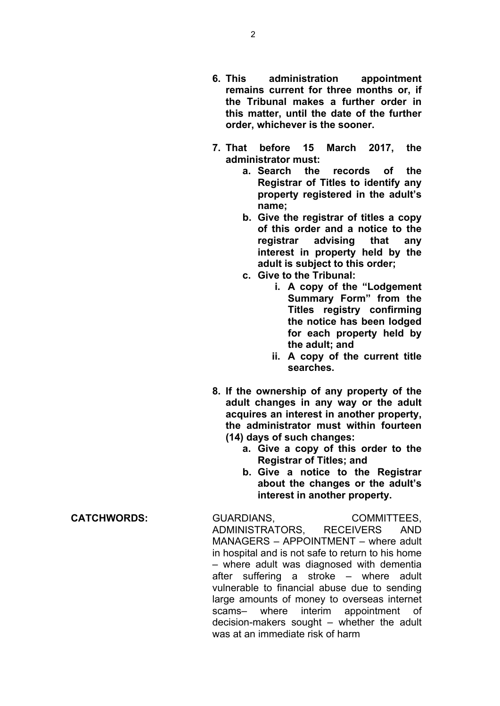- **6. This administration appointment remains current for three months or, if the Tribunal makes a further order in this matter, until the date of the further order, whichever is the sooner.**
- **7. That before 15 March 2017, the administrator must:**
	- **a. Search the records of the Registrar of Titles to identify any property registered in the adult's name;**
	- **b. Give the registrar of titles a copy of this order and a notice to the registrar advising that any interest in property held by the adult is subject to this order;**
	- **c. Give to the Tribunal:**
		- **i. A copy of the "Lodgement Summary Form" from the Titles registry confirming the notice has been lodged for each property held by the adult; and**
		- **ii. A copy of the current title searches.**
- **8. If the ownership of any property of the adult changes in any way or the adult acquires an interest in another property, the administrator must within fourteen (14) days of such changes:**
	- **a. Give a copy of this order to the Registrar of Titles; and**
	- **b. Give a notice to the Registrar about the changes or the adult's interest in another property.**

**CATCHWORDS:** GUARDIANS, COMMITTEES, ADMINISTRATORS, RECEIVERS AND MANAGERS – APPOINTMENT – where adult in hospital and is not safe to return to his home – where adult was diagnosed with dementia after suffering a stroke – where adult vulnerable to financial abuse due to sending large amounts of money to overseas internet scams– where interim appointment of decision-makers sought – whether the adult was at an immediate risk of harm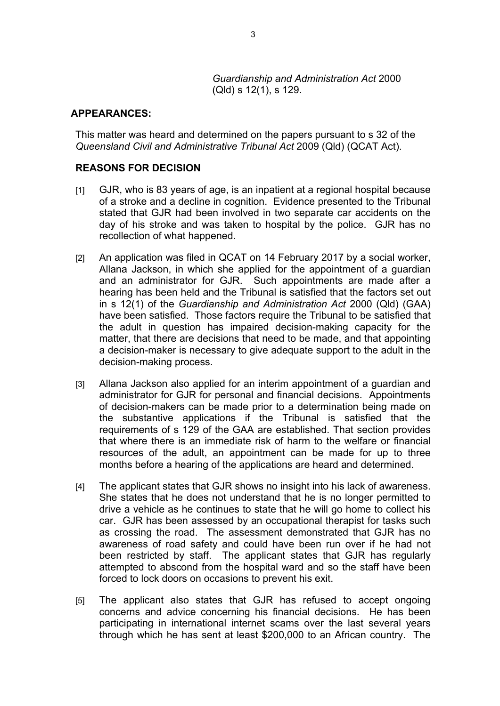*Guardianship and Administration Act* 2000 (Qld) s 12(1), s 129.

## **APPEARANCES:**

This matter was heard and determined on the papers pursuant to s 32 of the *Queensland Civil and Administrative Tribunal Act* 2009 (Qld) (QCAT Act).

## **REASONS FOR DECISION**

- [1] GJR, who is 83 years of age, is an inpatient at a regional hospital because of a stroke and a decline in cognition. Evidence presented to the Tribunal stated that GJR had been involved in two separate car accidents on the day of his stroke and was taken to hospital by the police. GJR has no recollection of what happened.
- [2] An application was filed in QCAT on 14 February 2017 by a social worker, Allana Jackson, in which she applied for the appointment of a guardian and an administrator for GJR. Such appointments are made after a hearing has been held and the Tribunal is satisfied that the factors set out in s 12(1) of the *Guardianship and Administration Act* 2000 (Qld) (GAA) have been satisfied. Those factors require the Tribunal to be satisfied that the adult in question has impaired decision-making capacity for the matter, that there are decisions that need to be made, and that appointing a decision-maker is necessary to give adequate support to the adult in the decision-making process.
- [3] Allana Jackson also applied for an interim appointment of a guardian and administrator for GJR for personal and financial decisions. Appointments of decision-makers can be made prior to a determination being made on the substantive applications if the Tribunal is satisfied that the requirements of s 129 of the GAA are established. That section provides that where there is an immediate risk of harm to the welfare or financial resources of the adult, an appointment can be made for up to three months before a hearing of the applications are heard and determined.
- [4] The applicant states that GJR shows no insight into his lack of awareness. She states that he does not understand that he is no longer permitted to drive a vehicle as he continues to state that he will go home to collect his car. GJR has been assessed by an occupational therapist for tasks such as crossing the road. The assessment demonstrated that GJR has no awareness of road safety and could have been run over if he had not been restricted by staff. The applicant states that GJR has regularly attempted to abscond from the hospital ward and so the staff have been forced to lock doors on occasions to prevent his exit.
- [5] The applicant also states that GJR has refused to accept ongoing concerns and advice concerning his financial decisions. He has been participating in international internet scams over the last several years through which he has sent at least \$200,000 to an African country. The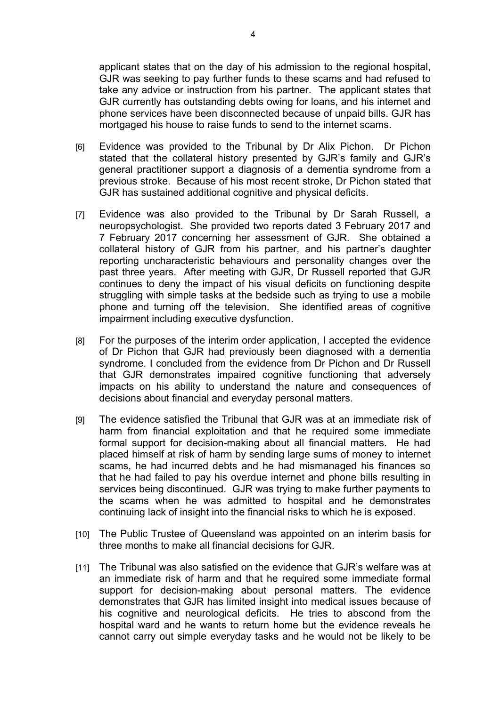applicant states that on the day of his admission to the regional hospital, GJR was seeking to pay further funds to these scams and had refused to take any advice or instruction from his partner. The applicant states that GJR currently has outstanding debts owing for loans, and his internet and phone services have been disconnected because of unpaid bills. GJR has mortgaged his house to raise funds to send to the internet scams.

- [6] Evidence was provided to the Tribunal by Dr Alix Pichon. Dr Pichon stated that the collateral history presented by GJR's family and GJR's general practitioner support a diagnosis of a dementia syndrome from a previous stroke. Because of his most recent stroke, Dr Pichon stated that GJR has sustained additional cognitive and physical deficits.
- [7] Evidence was also provided to the Tribunal by Dr Sarah Russell, a neuropsychologist. She provided two reports dated 3 February 2017 and 7 February 2017 concerning her assessment of GJR. She obtained a collateral history of GJR from his partner, and his partner's daughter reporting uncharacteristic behaviours and personality changes over the past three years. After meeting with GJR, Dr Russell reported that GJR continues to deny the impact of his visual deficits on functioning despite struggling with simple tasks at the bedside such as trying to use a mobile phone and turning off the television. She identified areas of cognitive impairment including executive dysfunction.
- [8] For the purposes of the interim order application, I accepted the evidence of Dr Pichon that GJR had previously been diagnosed with a dementia syndrome. I concluded from the evidence from Dr Pichon and Dr Russell that GJR demonstrates impaired cognitive functioning that adversely impacts on his ability to understand the nature and consequences of decisions about financial and everyday personal matters.
- [9] The evidence satisfied the Tribunal that GJR was at an immediate risk of harm from financial exploitation and that he required some immediate formal support for decision-making about all financial matters. He had placed himself at risk of harm by sending large sums of money to internet scams, he had incurred debts and he had mismanaged his finances so that he had failed to pay his overdue internet and phone bills resulting in services being discontinued. GJR was trying to make further payments to the scams when he was admitted to hospital and he demonstrates continuing lack of insight into the financial risks to which he is exposed.
- [10] The Public Trustee of Queensland was appointed on an interim basis for three months to make all financial decisions for GJR.
- [11] The Tribunal was also satisfied on the evidence that GJR's welfare was at an immediate risk of harm and that he required some immediate formal support for decision-making about personal matters. The evidence demonstrates that GJR has limited insight into medical issues because of his cognitive and neurological deficits. He tries to abscond from the hospital ward and he wants to return home but the evidence reveals he cannot carry out simple everyday tasks and he would not be likely to be